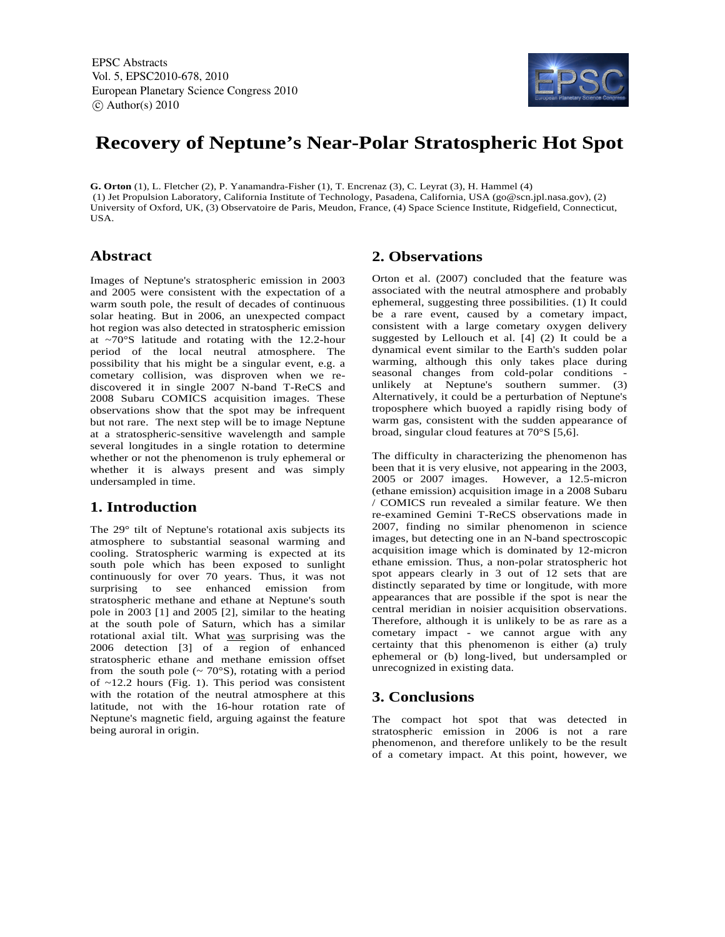EPSC Abstracts Vol. 5, EPSC2010-678, 2010 European Planetary Science Congress 2010  $\circ$  Author(s) 2010



# **Recovery of Neptune's Near-Polar Stratospheric Hot Spot**

**G. Orton** (1), L. Fletcher (2), P. Yanamandra-Fisher (1), T. Encrenaz (3), C. Leyrat (3), H. Hammel (4) (1) Jet Propulsion Laboratory, California Institute of Technology, Pasadena, California, USA (go@scn.jpl.nasa.gov), (2) University of Oxford, UK, (3) Observatoire de Paris, Meudon, France, (4) Space Science Institute, Ridgefield, Connecticut, USA.

## **Abstract**

Images of Neptune's stratospheric emission in 2003 and 2005 were consistent with the expectation of a warm south pole, the result of decades of continuous solar heating. But in 2006, an unexpected compact hot region was also detected in stratospheric emission at ~70°S latitude and rotating with the 12.2-hour period of the local neutral atmosphere. The possibility that his might be a singular event, e.g. a cometary collision, was disproven when we rediscovered it in single 2007 N-band T-ReCS and 2008 Subaru COMICS acquisition images. These observations show that the spot may be infrequent but not rare. The next step will be to image Neptune at a stratospheric-sensitive wavelength and sample several longitudes in a single rotation to determine whether or not the phenomenon is truly ephemeral or whether it is always present and was simply undersampled in time.

## **1. Introduction**

The 29° tilt of Neptune's rotational axis subjects its atmosphere to substantial seasonal warming and cooling. Stratospheric warming is expected at its south pole which has been exposed to sunlight continuously for over 70 years. Thus, it was not surprising to see enhanced emission from stratospheric methane and ethane at Neptune's south pole in 2003 [1] and 2005 [2], similar to the heating at the south pole of Saturn, which has a similar rotational axial tilt. What was surprising was the 2006 detection [3] of a region of enhanced stratospheric ethane and methane emission offset from the south pole ( $\sim$  70 $\textdegree$ S), rotating with a period of ~12.2 hours (Fig. 1). This period was consistent with the rotation of the neutral atmosphere at this latitude, not with the 16-hour rotation rate of Neptune's magnetic field, arguing against the feature being auroral in origin.

## **2. Observations**

Orton et al. (2007) concluded that the feature was associated with the neutral atmosphere and probably ephemeral, suggesting three possibilities. (1) It could be a rare event, caused by a cometary impact, consistent with a large cometary oxygen delivery suggested by Lellouch et al. [4] (2) It could be a dynamical event similar to the Earth's sudden polar warming, although this only takes place during seasonal changes from cold-polar conditions unlikely at Neptune's southern summer. (3) Alternatively, it could be a perturbation of Neptune's troposphere which buoyed a rapidly rising body of warm gas, consistent with the sudden appearance of broad, singular cloud features at 70°S [5,6].

The difficulty in characterizing the phenomenon has been that it is very elusive, not appearing in the 2003, 2005 or 2007 images. However, a 12.5-micron (ethane emission) acquisition image in a 2008 Subaru / COMICS run revealed a similar feature. We then re-examined Gemini T-ReCS observations made in 2007, finding no similar phenomenon in science images, but detecting one in an N-band spectroscopic acquisition image which is dominated by 12-micron ethane emission. Thus, a non-polar stratospheric hot spot appears clearly in 3 out of 12 sets that are distinctly separated by time or longitude, with more appearances that are possible if the spot is near the central meridian in noisier acquisition observations. Therefore, although it is unlikely to be as rare as a cometary impact - we cannot argue with any certainty that this phenomenon is either (a) truly ephemeral or (b) long-lived, but undersampled or unrecognized in existing data.

### **3. Conclusions**

The compact hot spot that was detected in stratospheric emission in 2006 is not a rare phenomenon, and therefore unlikely to be the result of a cometary impact. At this point, however, we